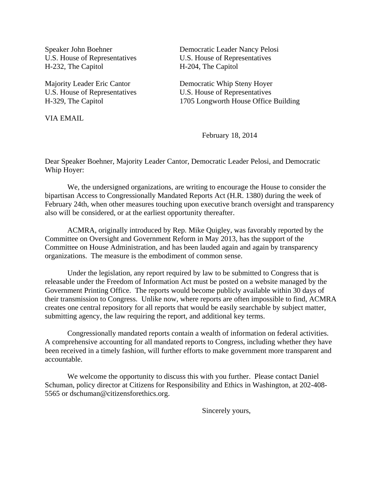U.S. House of Representatives U.S. House of Representatives H-232, The Capitol H-204, The Capitol

VIA EMAIL

Speaker John Boehner Democratic Leader Nancy Pelosi

Majority Leader Eric Cantor **Democratic Whip Steny Hoyer** U.S. House of Representatives U.S. House of Representatives H-329, The Capitol 1705 Longworth House Office Building

February 18, 2014

Dear Speaker Boehner, Majority Leader Cantor, Democratic Leader Pelosi, and Democratic Whip Hoyer:

 We, the undersigned organizations, are writing to encourage the House to consider the bipartisan Access to Congressionally Mandated Reports Act (H.R. 1380) during the week of February 24th, when other measures touching upon executive branch oversight and transparency also will be considered, or at the earliest opportunity thereafter.

 ACMRA, originally introduced by Rep. Mike Quigley, was favorably reported by the Committee on Oversight and Government Reform in May 2013, has the support of the Committee on House Administration, and has been lauded again and again by transparency organizations. The measure is the embodiment of common sense.

 Under the legislation, any report required by law to be submitted to Congress that is releasable under the Freedom of Information Act must be posted on a website managed by the Government Printing Office. The reports would become publicly available within 30 days of their transmission to Congress. Unlike now, where reports are often impossible to find, ACMRA creates one central repository for all reports that would be easily searchable by subject matter, submitting agency, the law requiring the report, and additional key terms.

 Congressionally mandated reports contain a wealth of information on federal activities. A comprehensive accounting for all mandated reports to Congress, including whether they have been received in a timely fashion, will further efforts to make government more transparent and accountable.

 We welcome the opportunity to discuss this with you further. Please contact Daniel Schuman, policy director at Citizens for Responsibility and Ethics in Washington, at 202-408- 5565 or dschuman@citizensforethics.org.

Sincerely yours,